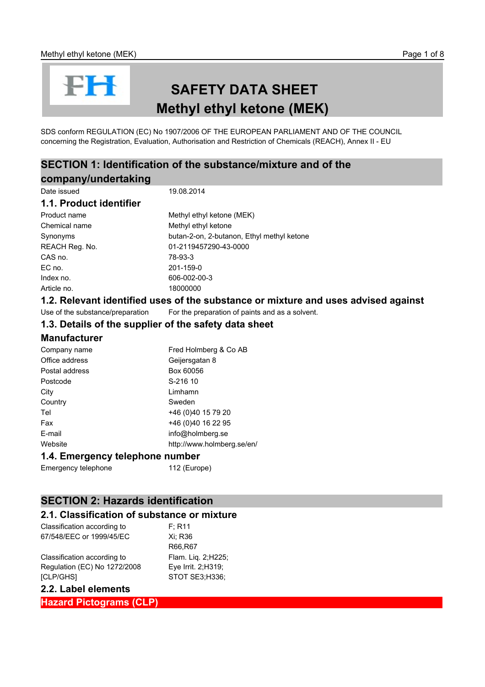# FH

## **SAFETY DATA SHEET Methyl ethyl ketone (MEK)**

SDS conform REGULATION (EC) No 1907/2006 OF THE EUROPEAN PARLIAMENT AND OF THE COUNCIL concerning the Registration, Evaluation, Authorisation and Restriction of Chemicals (REACH), Annex II - EU

## **SECTION 1: Identification of the substance/mixture and of the company/undertaking**

| Date issued             | 19.08.2014                                 |
|-------------------------|--------------------------------------------|
| 1.1. Product identifier |                                            |
| Product name            | Methyl ethyl ketone (MEK)                  |
| Chemical name           | Methyl ethyl ketone                        |
| Synonyms                | butan-2-on, 2-butanon, Ethyl methyl ketone |
| REACH Reg. No.          | 01-2119457290-43-0000                      |
| CAS no.                 | 78-93-3                                    |
| EC no.                  | 201-159-0                                  |
| Index no.               | 606-002-00-3                               |
| Article no.             | 18000000                                   |
|                         |                                            |

## **1.2. Relevant identified uses of the substance or mixture and uses advised against**

Use of the substance/preparation For the preparation of paints and as a solvent.

#### **1.3. Details of the supplier of the safety data sheet**

## **Manufacturer**

| Company name   | Fred Holmberg & Co AB      |
|----------------|----------------------------|
| Office address | Geijersgatan 8             |
| Postal address | Box 60056                  |
| Postcode       | S-216 10                   |
| City           | Limhamn                    |
| Country        | Sweden                     |
| Tel            | +46 (0)40 15 79 20         |
| Fax            | +46 (0)40 16 22 95         |
| E-mail         | info@holmberg.se           |
| Website        | http://www.holmberg.se/en/ |
|                |                            |

#### **1.4. Emergency telephone number**

Emergency telephone 112 (Europe)

## **SECTION 2: Hazards identification**

#### **2.1. Classification of substance or mixture**

| Classification according to  | F: R11              |
|------------------------------|---------------------|
| 67/548/EEC or 1999/45/EC     | Xi: R36             |
|                              | R66,R67             |
| Classification according to  | Flam. Lig. 2; H225; |
| Regulation (EC) No 1272/2008 | Eye Irrit. 2;H319;  |
| [CLP/GHS]                    | STOT SE3;H336;      |

#### **2.2. Label elements**

**Hazard Pictograms (CLP)**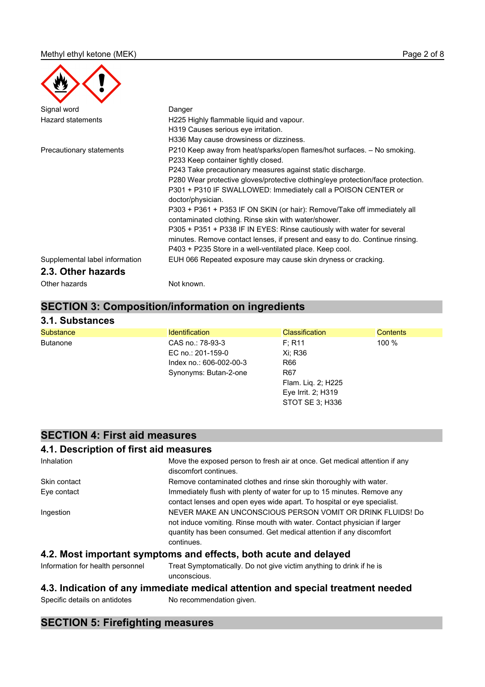| Signal word                    | Danger                                                                                                                           |
|--------------------------------|----------------------------------------------------------------------------------------------------------------------------------|
| <b>Hazard statements</b>       | H225 Highly flammable liquid and vapour.                                                                                         |
|                                | H319 Causes serious eye irritation.                                                                                              |
|                                | H336 May cause drowsiness or dizziness.                                                                                          |
| Precautionary statements       | P210 Keep away from heat/sparks/open flames/hot surfaces. - No smoking.                                                          |
|                                | P233 Keep container tightly closed.                                                                                              |
|                                | P243 Take precautionary measures against static discharge.                                                                       |
|                                | P280 Wear protective gloves/protective clothing/eye protection/face protection.                                                  |
|                                | P301 + P310 IF SWALLOWED: Immediately call a POISON CENTER or                                                                    |
|                                | doctor/physician.                                                                                                                |
|                                | P303 + P361 + P353 IF ON SKIN (or hair): Remove/Take off immediately all<br>contaminated clothing. Rinse skin with water/shower. |
|                                | P305 + P351 + P338 IF IN EYES: Rinse cautiously with water for several                                                           |
|                                | minutes. Remove contact lenses, if present and easy to do. Continue rinsing.                                                     |
|                                | P403 + P235 Store in a well-ventilated place. Keep cool.                                                                         |
| Supplemental label information | EUH 066 Repeated exposure may cause skin dryness or cracking.                                                                    |
| 2.3. Other hazards             |                                                                                                                                  |
| Other hazards                  | Not known.                                                                                                                       |

## **SECTION 3: Composition/information on ingredients**

#### **3.1. Substances**

| <b>Substance</b> | <b>Identification</b>   | <b>Classification</b> | <b>Contents</b> |
|------------------|-------------------------|-----------------------|-----------------|
| <b>Butanone</b>  | CAS no.: 78-93-3        | F: R11                | $100 \%$        |
|                  | EC no.: 201-159-0       | Xi: R36               |                 |
|                  | Index no.: 606-002-00-3 | R66                   |                 |
|                  | Synonyms: Butan-2-one   | R <sub>67</sub>       |                 |
|                  |                         | Flam. Lig. 2; H225    |                 |
|                  |                         | Eye Irrit. 2; H319    |                 |
|                  |                         | STOT SE 3: H336       |                 |

## **SECTION 4: First aid measures**

## **4.1. Description of first aid measures**

| Inhalation   | Move the exposed person to fresh air at once. Get medical attention if any<br>discomfort continues.                                                                                                                         |
|--------------|-----------------------------------------------------------------------------------------------------------------------------------------------------------------------------------------------------------------------------|
| Skin contact | Remove contaminated clothes and rinse skin thoroughly with water.                                                                                                                                                           |
| Eye contact  | Immediately flush with plenty of water for up to 15 minutes. Remove any<br>contact lenses and open eyes wide apart. To hospital or eye specialist.                                                                          |
| Ingestion    | NEVER MAKE AN UNCONSCIOUS PERSON VOMIT OR DRINK FLUIDS! Do<br>not induce vomiting. Rinse mouth with water. Contact physician if larger<br>quantity has been consumed. Get medical attention if any discomfort<br>continues. |
|              | A O Maai iyyaayyad amuutayaa ay dafaata ladkaanta ay dalayad                                                                                                                                                                |

#### **4.2. Most important symptoms and effects, both acute and delayed**

Information for health personnel Treat Symptomatically. Do not give victim anything to drink if he is unconscious.

## **4.3. Indication of any immediate medical attention and special treatment needed**

Specific details on antidotes No recommendation given.

## **SECTION 5: Firefighting measures**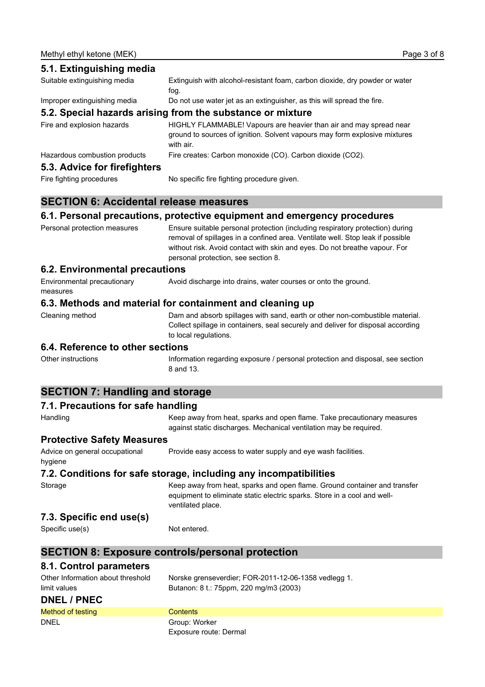| 5.1. Extinguishing media      |                                                                                                                                                               |
|-------------------------------|---------------------------------------------------------------------------------------------------------------------------------------------------------------|
| Suitable extinguishing media  | Extinguish with alcohol-resistant foam, carbon dioxide, dry powder or water<br>fog.                                                                           |
| Improper extinguishing media  | Do not use water jet as an extinguisher, as this will spread the fire.                                                                                        |
|                               | 5.2. Special hazards arising from the substance or mixture                                                                                                    |
| Fire and explosion hazards    | HIGHLY FLAMMABLE! Vapours are heavier than air and may spread near<br>ground to sources of ignition. Solvent vapours may form explosive mixtures<br>with air. |
| Hazardous combustion products | Fire creates: Carbon monoxide (CO). Carbon dioxide (CO2).                                                                                                     |
| 5.3. Advice for firefighters  |                                                                                                                                                               |
| Fire fighting procedures      | No specific fire fighting procedure given.                                                                                                                    |

## **SECTION 6: Accidental release measures**

#### **6.1. Personal precautions, protective equipment and emergency procedures**

Personal protection measures Ensure suitable personal protection (including respiratory protection) during removal of spillages in a confined area. Ventilate well. Stop leak if possible without risk. Avoid contact with skin and eyes. Do not breathe vapour. For personal protection, see section 8.

#### **6.2. Environmental precautions**

Environmental precautionary measures Avoid discharge into drains, water courses or onto the ground.

#### **6.3. Methods and material for containment and cleaning up**

Cleaning method Dam and absorb spillages with sand, earth or other non-combustible material. Collect spillage in containers, seal securely and deliver for disposal according to local regulations.

#### **6.4. Reference to other sections**

Other instructions Information regarding exposure / personal protection and disposal, see section 8 and 13.

## **SECTION 7: Handling and storage**

## **7.1. Precautions for safe handling**

Handling **Keep away from heat, sparks and open flame**. Take precautionary measures against static discharges. Mechanical ventilation may be required. **Protective Safety Measures** Advice on general occupational hygiene Provide easy access to water supply and eye wash facilities. **7.2. Conditions for safe storage, including any incompatibilities** Storage Storage Keep away from heat, sparks and open flame. Ground container and transfer equipment to eliminate static electric sparks. Store in a cool and wellventilated place. **7.3. Specific end use(s)** Specific use(s) Not entered. **SECTION 8: Exposure controls/personal protection 8.1. Control parameters**

| Other Information about threshold | Norske grenseverdier; FOR-2011-12-06-1358 vedlegg 1. |
|-----------------------------------|------------------------------------------------------|
| limit values                      | Butanon: 8 t.: 75ppm, 220 mg/m3 (2003)               |
| DNEL / PNEC                       |                                                      |
| Method of testing                 | <b>Contents</b>                                      |
| <b>DNEL</b>                       | Group: Worker                                        |
|                                   | Exposure route: Dermal                               |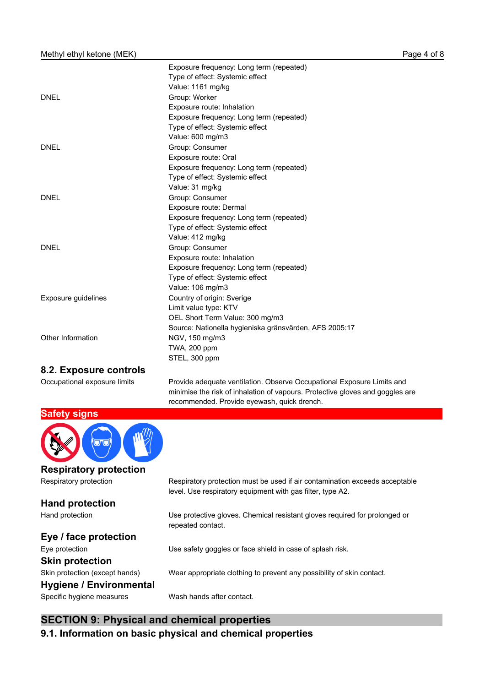|                     | Exposure frequency: Long term (repeated)               |
|---------------------|--------------------------------------------------------|
|                     | Type of effect: Systemic effect                        |
|                     | Value: 1161 mg/kg                                      |
| <b>DNEL</b>         | Group: Worker                                          |
|                     | Exposure route: Inhalation                             |
|                     | Exposure frequency: Long term (repeated)               |
|                     | Type of effect: Systemic effect                        |
|                     | Value: 600 mg/m3                                       |
| <b>DNEL</b>         | Group: Consumer                                        |
|                     | Exposure route: Oral                                   |
|                     | Exposure frequency: Long term (repeated)               |
|                     | Type of effect: Systemic effect                        |
|                     | Value: 31 mg/kg                                        |
| <b>DNEL</b>         | Group: Consumer                                        |
|                     | Exposure route: Dermal                                 |
|                     | Exposure frequency: Long term (repeated)               |
|                     | Type of effect: Systemic effect                        |
|                     | Value: 412 mg/kg                                       |
| <b>DNEL</b>         | Group: Consumer                                        |
|                     | Exposure route: Inhalation                             |
|                     | Exposure frequency: Long term (repeated)               |
|                     | Type of effect: Systemic effect                        |
|                     | Value: 106 mg/m3                                       |
| Exposure guidelines | Country of origin: Sverige                             |
|                     | Limit value type: KTV                                  |
|                     | OEL Short Term Value: 300 mg/m3                        |
|                     | Source: Nationella hygieniska gränsvärden, AFS 2005:17 |
| Other Information   | NGV, 150 mg/m3                                         |
|                     | TWA, 200 ppm                                           |
|                     | STEL, 300 ppm                                          |
|                     |                                                        |

#### **8.2. Exposure controls**

Occupational exposure limits Provide adequate ventilation. Observe Occupational Exposure Limits and minimise the risk of inhalation of vapours. Protective gloves and goggles are recommended. Provide eyewash, quick drench.



**Respiratory protection**

**Hand protection**

#### **Eye / face protection**

Eye protection Use safety goggles or face shield in case of splash risk.

## **Skin protection**

Skin protection (except hands) Wear appropriate clothing to prevent any possibility of skin contact.

## **Hygiene / Environmental**

Specific hygiene measures Wash hands after contact.

## **SECTION 9: Physical and chemical properties**

**9.1. Information on basic physical and chemical properties**

## Respiratory protection Respiratory protection must be used if air contamination exceeds acceptable level. Use respiratory equipment with gas filter, type A2.

Hand protection Use protective gloves. Chemical resistant gloves required for prolonged or repeated contact.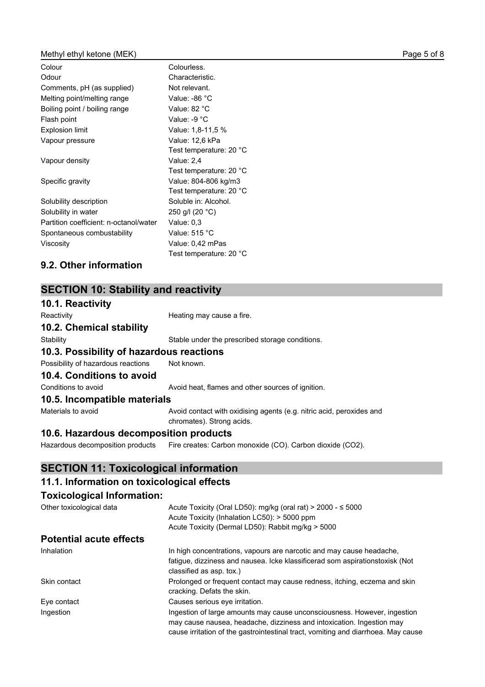#### Methyl ethyl ketone (MEK) and the example of 8 and 2 of 8 and 2 of 8 and 2 of 8 and 2 of 8 and 2 of 8 and 2 of 8

| Colour                                 | Colourless.               |
|----------------------------------------|---------------------------|
| Odour                                  | Characteristic.           |
| Comments, pH (as supplied)             | Not relevant.             |
| Melting point/melting range            | Value: -86 $°C$           |
| Boiling point / boiling range          | Value: 82 °C              |
| Flash point                            | Value: -9 $^{\circ}$ C    |
| <b>Explosion limit</b>                 | Value: 1,8-11,5 %         |
| Vapour pressure                        | Value: 12,6 kPa           |
|                                        | Test temperature: 20 °C   |
| Vapour density                         | Value: 2,4                |
|                                        | Test temperature: 20 °C   |
| Specific gravity                       | Value: 804-806 kg/m3      |
|                                        | Test temperature: 20 °C   |
| Solubility description                 | Soluble in: Alcohol.      |
| Solubility in water                    | 250 g/l (20 $^{\circ}$ C) |
| Partition coefficient: n-octanol/water | Value: $0.3$              |
| Spontaneous combustability             | Value: $515 °C$           |
| Viscosity                              | Value: 0,42 mPas          |
|                                        | Test temperature: 20 °C   |

## **9.2. Other information**

## **SECTION 10: Stability and reactivity**

| 10.1. Reactivity                         |                                                                                                   |
|------------------------------------------|---------------------------------------------------------------------------------------------------|
| Reactivity                               | Heating may cause a fire.                                                                         |
| 10.2. Chemical stability                 |                                                                                                   |
| Stability                                | Stable under the prescribed storage conditions.                                                   |
| 10.3. Possibility of hazardous reactions |                                                                                                   |
| Possibility of hazardous reactions       | Not known.                                                                                        |
| 10.4. Conditions to avoid                |                                                                                                   |
| Conditions to avoid                      | Avoid heat, flames and other sources of ignition.                                                 |
| 10.5. Incompatible materials             |                                                                                                   |
| Materials to avoid                       | Avoid contact with oxidising agents (e.g. nitric acid, peroxides and<br>chromates). Strong acids. |
| 10.6. Hazardous decomposition products   |                                                                                                   |

## **10.6. Hazardous decomposition products**

Hazardous decomposition products Fire creates: Carbon monoxide (CO). Carbon dioxide (CO2).

## **SECTION 11: Toxicological information**

## **11.1. Information on toxicological effects**

## **Toxicological Information:**

| Other toxicological data       | Acute Toxicity (Oral LD50): mg/kg (oral rat) > 2000 - $\leq$ 5000<br>Acute Toxicity (Inhalation LC50): > 5000 ppm<br>Acute Toxicity (Dermal LD50): Rabbit mg/kg > 5000                                                                 |
|--------------------------------|----------------------------------------------------------------------------------------------------------------------------------------------------------------------------------------------------------------------------------------|
| <b>Potential acute effects</b> |                                                                                                                                                                                                                                        |
| Inhalation                     | In high concentrations, vapours are narcotic and may cause headache,<br>fatigue, dizziness and nausea. Icke klassificerad som aspirationstoxisk (Not<br>classified as asp. tox.)                                                       |
| Skin contact                   | Prolonged or frequent contact may cause redness, itching, eczema and skin<br>cracking. Defats the skin.                                                                                                                                |
| Eye contact                    | Causes serious eye irritation.                                                                                                                                                                                                         |
| Ingestion                      | Ingestion of large amounts may cause unconsciousness. However, ingestion<br>may cause nausea, headache, dizziness and intoxication. Ingestion may<br>cause irritation of the gastrointestinal tract, vomiting and diarrhoea. May cause |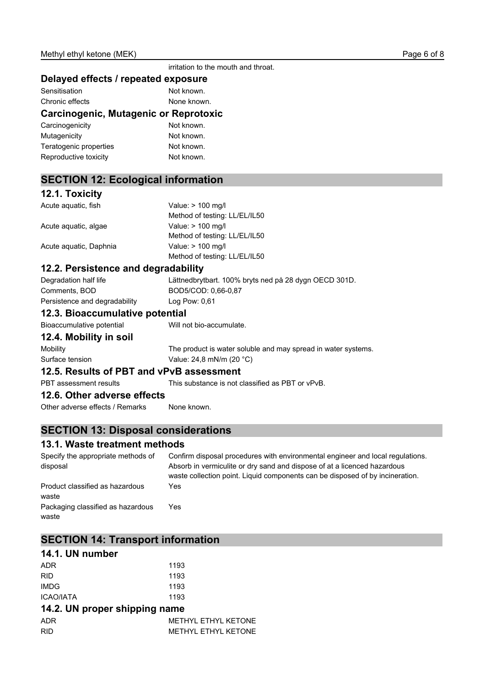irritation to the mouth and throat.

#### **Delayed effects / repeated exposure**

| Sensitisation   |  |  |  | Not known. |             |  |  |
|-----------------|--|--|--|------------|-------------|--|--|
| Chronic effects |  |  |  |            | None known. |  |  |
|                 |  |  |  |            |             |  |  |

#### **Carcinogenic, Mutagenic or Reprotoxic**

| Carcinogenicity        | Not known. |
|------------------------|------------|
| Mutagenicity           | Not known. |
| Teratogenic properties | Not known. |
| Reproductive toxicity  | Not known. |

## **SECTION 12: Ecological information**

#### **12.1. Toxicity**

| Acute aguatic, fish    | Value: > 100 mg/l             |
|------------------------|-------------------------------|
|                        | Method of testing: LL/EL/IL50 |
| Acute aquatic, algae   | Value: > 100 mg/l             |
|                        | Method of testing: LL/EL/IL50 |
| Acute aguatic, Daphnia | Value: > 100 mg/l             |
|                        | Method of testing: LL/EL/IL50 |

#### **12.2. Persistence and degradability**

| $\overline{40.0}$ Diagonalistics in the field |                                                       |
|-----------------------------------------------|-------------------------------------------------------|
| Persistence and degradability                 | Log Pow: $0.61$                                       |
| Comments. BOD                                 | BOD5/COD: 0.66-0.87                                   |
| Degradation half life                         | Lättnedbrytbart. 100% bryts ned på 28 dygn OECD 301D. |

### **12.3. Bioaccumulative potential**

Bioaccumulative potential Will not bio-accumulate.

#### **12.4. Mobility in soil**

Mobility The product is water soluble and may spread in water systems. Surface tension Value: 24,8 mN/m (20 °C)

#### **12.5. Results of PBT and vPvB assessment**

PBT assessment results This substance is not classified as PBT or vPvB.

#### **12.6. Other adverse effects**

Other adverse effects / Remarks None known.

## **SECTION 13: Disposal considerations**

#### **13.1. Waste treatment methods**

Specify the appropriate methods of disposal Confirm disposal procedures with environmental engineer and local regulations. Absorb in vermiculite or dry sand and dispose of at a licenced hazardous waste collection point. Liquid components can be disposed of by incineration. Product classified as hazardous waste Yes Packaging classified as hazardous waste Yes

## **SECTION 14: Transport information**

| 14.1. UN number  |      |
|------------------|------|
| <b>ADR</b>       | 1193 |
| <b>RID</b>       | 1193 |
| IMDG.            | 1193 |
| <b>ICAO/IATA</b> | 1193 |

#### **14.2. UN proper shipping name**

| ADR        | METHYL ETHYL KETONE |
|------------|---------------------|
| <b>RID</b> | METHYL ETHYL KETONE |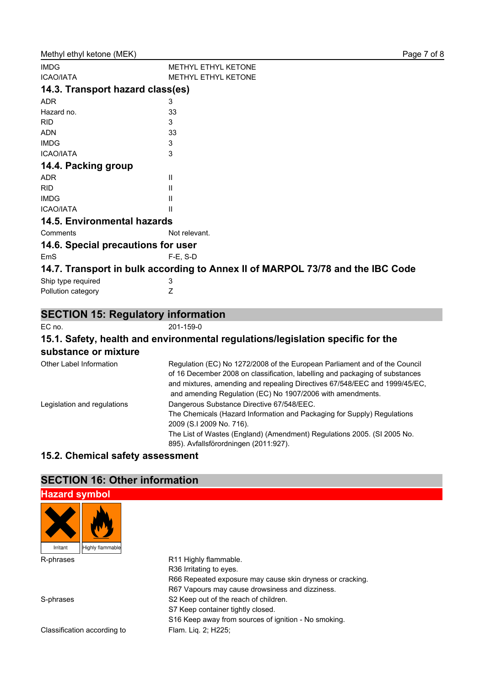| <b>IMDG</b>                               | <b>METHYL ETHYL KETONE</b>                                                     |
|-------------------------------------------|--------------------------------------------------------------------------------|
| <b>ICAO/IATA</b>                          | <b>METHYL ETHYL KETONE</b>                                                     |
| 14.3. Transport hazard class(es)          |                                                                                |
| <b>ADR</b>                                | 3                                                                              |
| Hazard no.                                | 33                                                                             |
| <b>RID</b>                                | 3                                                                              |
| <b>ADN</b>                                | 33                                                                             |
| <b>IMDG</b>                               | 3                                                                              |
| <b>ICAO/IATA</b>                          | 3                                                                              |
| 14.4. Packing group                       |                                                                                |
| <b>ADR</b>                                | Ш                                                                              |
| <b>RID</b>                                | Ш                                                                              |
| <b>IMDG</b>                               | Ш                                                                              |
| <b>ICAO/IATA</b>                          |                                                                                |
| <b>14.5. Environmental hazards</b>        |                                                                                |
| Comments                                  | Not relevant.                                                                  |
| 14.6. Special precautions for user        |                                                                                |
| EmS                                       | F-E, S-D                                                                       |
|                                           | 14.7. Transport in bulk according to Annex II of MARPOL 73/78 and the IBC Code |
| Ship type required                        | 3                                                                              |
| Pollution category                        | Ζ                                                                              |
| <b>SECTION 15: Regulatory information</b> |                                                                                |
| EC no.                                    | 201-159-0                                                                      |
|                                           | .                                                                              |

#### **15.1. Safety, health and environmental regulations/legislation specific for the substance or mixture**

| Other Label Information     | Regulation (EC) No 1272/2008 of the European Parliament and of the Council<br>of 16 December 2008 on classification, labelling and packaging of substances<br>and mixtures, amending and repealing Directives 67/548/EEC and 1999/45/EC,<br>and amending Regulation (EC) No 1907/2006 with amendments. |
|-----------------------------|--------------------------------------------------------------------------------------------------------------------------------------------------------------------------------------------------------------------------------------------------------------------------------------------------------|
| Legislation and regulations | Dangerous Substance Directive 67/548/EEC.                                                                                                                                                                                                                                                              |
|                             | The Chemicals (Hazard Information and Packaging for Supply) Regulations                                                                                                                                                                                                                                |
|                             | 2009 (S.I 2009 No. 716).                                                                                                                                                                                                                                                                               |
|                             | The List of Wastes (England) (Amendment) Regulations 2005. (SI 2005 No.                                                                                                                                                                                                                                |
|                             | 895). Avfallsförordningen (2011:927).                                                                                                                                                                                                                                                                  |

## **15.2. Chemical safety assessment**

## **SECTION 16: Other information**